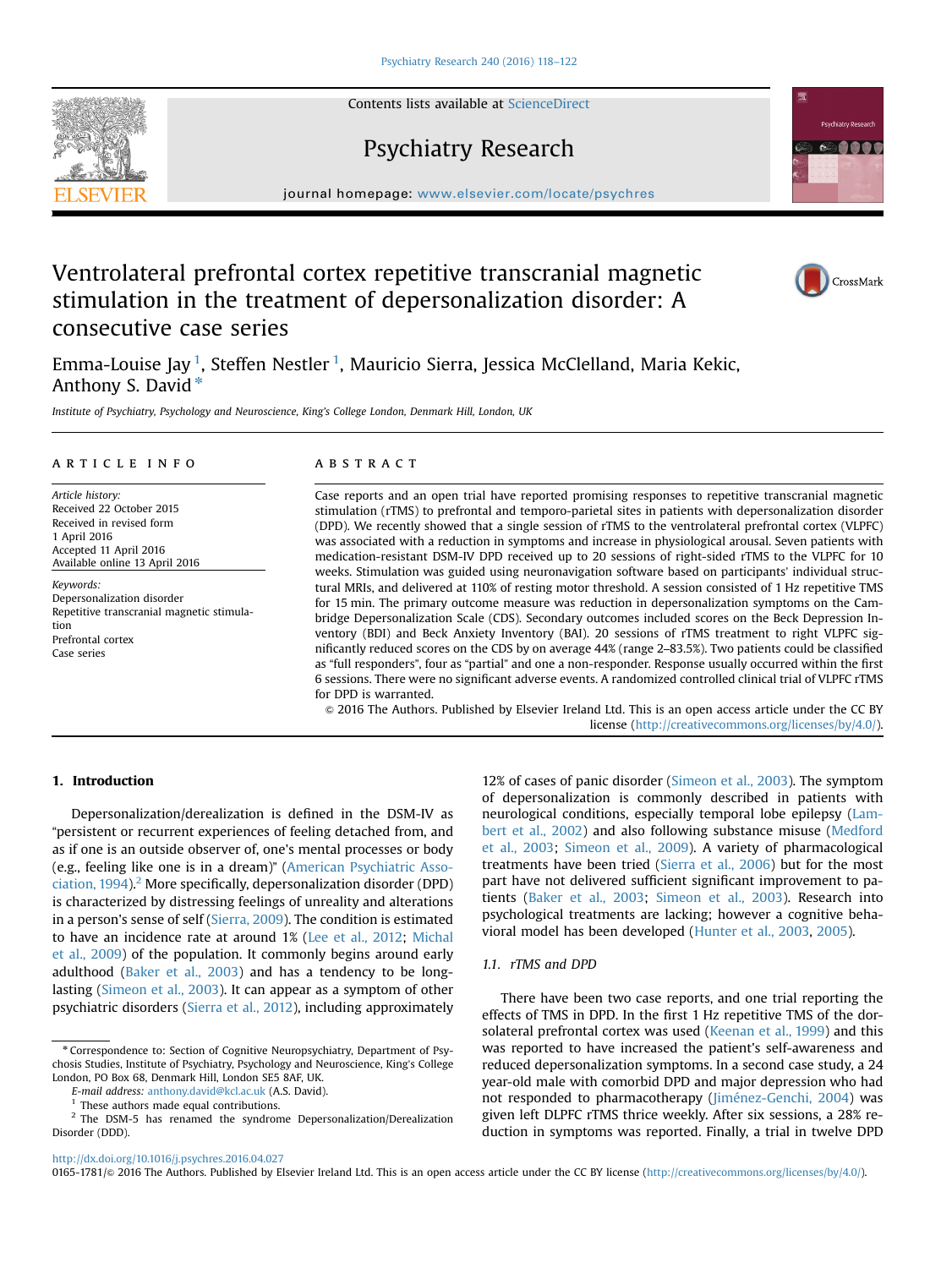Contents lists available at [ScienceDirect](www.sciencedirect.com/science/journal/01651781)

# Psychiatry Research

journal homepage: <www.elsevier.com/locate/psychres>e/psychrese/psychrese/psychrese/psychrese/psychrese/psychrese/psychrese/psychrese/psychrese/psychrese/psychrese/psychrese/psychrese/psychrese/psychrese/psychrese/psychrese

# Ventrolateral prefrontal cortex repetitive transcranial magnetic stimulation in the treatment of depersonalization disorder: A consecutive case series

Emma-Louise Jay <sup>1</sup>, Steffen Nestler <sup>1</sup>, Mauricio Sierra, Jessica McClelland, Maria Kekic, Anthony S. David\*

Institute of Psychiatry, Psychology and Neuroscience, King's College London, Denmark Hill, London, UK

#### article info

Article history: Received 22 October 2015 Received in revised form 1 April 2016 Accepted 11 April 2016 Available online 13 April 2016

Keywords: Depersonalization disorder Repetitive transcranial magnetic stimulation Prefrontal cortex Case series

#### **ABSTRACT**

Case reports and an open trial have reported promising responses to repetitive transcranial magnetic stimulation (rTMS) to prefrontal and temporo-parietal sites in patients with depersonalization disorder (DPD). We recently showed that a single session of rTMS to the ventrolateral prefrontal cortex (VLPFC) was associated with a reduction in symptoms and increase in physiological arousal. Seven patients with medication-resistant DSM-IV DPD received up to 20 sessions of right-sided rTMS to the VLPFC for 10 weeks. Stimulation was guided using neuronavigation software based on participants' individual structural MRIs, and delivered at 110% of resting motor threshold. A session consisted of 1 Hz repetitive TMS for 15 min. The primary outcome measure was reduction in depersonalization symptoms on the Cambridge Depersonalization Scale (CDS). Secondary outcomes included scores on the Beck Depression Inventory (BDI) and Beck Anxiety Inventory (BAI). 20 sessions of rTMS treatment to right VLPFC significantly reduced scores on the CDS by on average 44% (range 2–83.5%). Two patients could be classified as "full responders", four as "partial" and one a non-responder. Response usually occurred within the first 6 sessions. There were no significant adverse events. A randomized controlled clinical trial of VLPFC rTMS for DPD is warranted.

& 2016 The Authors. Published by Elsevier Ireland Ltd. This is an open access article under the CC BY license (http://creativecommons.org/licenses/by/4.0/).

# 1. Introduction

Depersonalization/derealization is defined in the DSM-IV as "persistent or recurrent experiences of feeling detached from, and as if one is an outside observer of, one's mental processes or body (e.g., feeling like one is in a dream)" ([American Psychiatric Asso](#page-3-0)ciation,  $1994$ ).<sup>2</sup> More specifically, depersonalization disorder (DPD) is characterized by distressing feelings of unreality and alterations in a person's sense of self [\(Sierra, 2009](#page-4-0)). The condition is estimated to have an incidence rate at around 1% ([Lee et al., 2012;](#page-4-0) [Michal](#page-4-0) [et al., 2009](#page-4-0)) of the population. It commonly begins around early adulthood ([Baker et al., 2003](#page-3-0)) and has a tendency to be longlasting ([Simeon et al., 2003](#page-4-0)). It can appear as a symptom of other psychiatric disorders [\(Sierra et al., 2012](#page-4-0)), including approximately

E-mail address: [anthony.david@kcl.ac.uk](mailto:anthony.david@kcl.ac.uk) (A.S. David).

 $<sup>1</sup>$  These authors made equal contributions.</sup>

12% of cases of panic disorder [\(Simeon et al., 2003](#page-4-0)). The symptom of depersonalization is commonly described in patients with neurological conditions, especially temporal lobe epilepsy [\(Lam](#page-3-0)[bert et al., 2002\)](#page-3-0) and also following substance misuse [\(Medford](#page-4-0) [et al., 2003;](#page-4-0) [Simeon et al., 2009\)](#page-4-0). A variety of pharmacological treatments have been tried [\(Sierra et al., 2006](#page-4-0)) but for the most part have not delivered sufficient significant improvement to patients ([Baker et al., 2003](#page-3-0); [Simeon et al., 2003\)](#page-4-0). Research into psychological treatments are lacking; however a cognitive behavioral model has been developed ([Hunter et al., 2003,](#page-3-0) [2005](#page-3-0)).

#### 1.1. rTMS and DPD

There have been two case reports, and one trial reporting the effects of TMS in DPD. In the first 1 Hz repetitive TMS of the dor-solateral prefrontal cortex was used [\(Keenan et al., 1999](#page-3-0)) and this was reported to have increased the patient's self-awareness and reduced depersonalization symptoms. In a second case study, a 24 year-old male with comorbid DPD and major depression who had not responded to pharmacotherapy [\(Jiménez-Genchi, 2004](#page-3-0)) was given left DLPFC rTMS thrice weekly. After six sessions, a 28% reduction in symptoms was reported. Finally, a trial in twelve DPD

<http://dx.doi.org/10.1016/j.psychres.2016.04.027>

0165-1781/© 2016 The Authors. Published by Elsevier Ireland Ltd. This is an open access article under the CC BY license (http://creativecommons.org/licenses/by/4.0/).





CrossMark

<sup>\*</sup> Correspondence to: Section of Cognitive Neuropsychiatry, Department of Psychosis Studies, Institute of Psychiatry, Psychology and Neuroscience, King's College London, PO Box 68, Denmark Hill, London SE5 8AF, UK.

<sup>2</sup> The DSM-5 has renamed the syndrome Depersonalization/Derealization Disorder (DDD).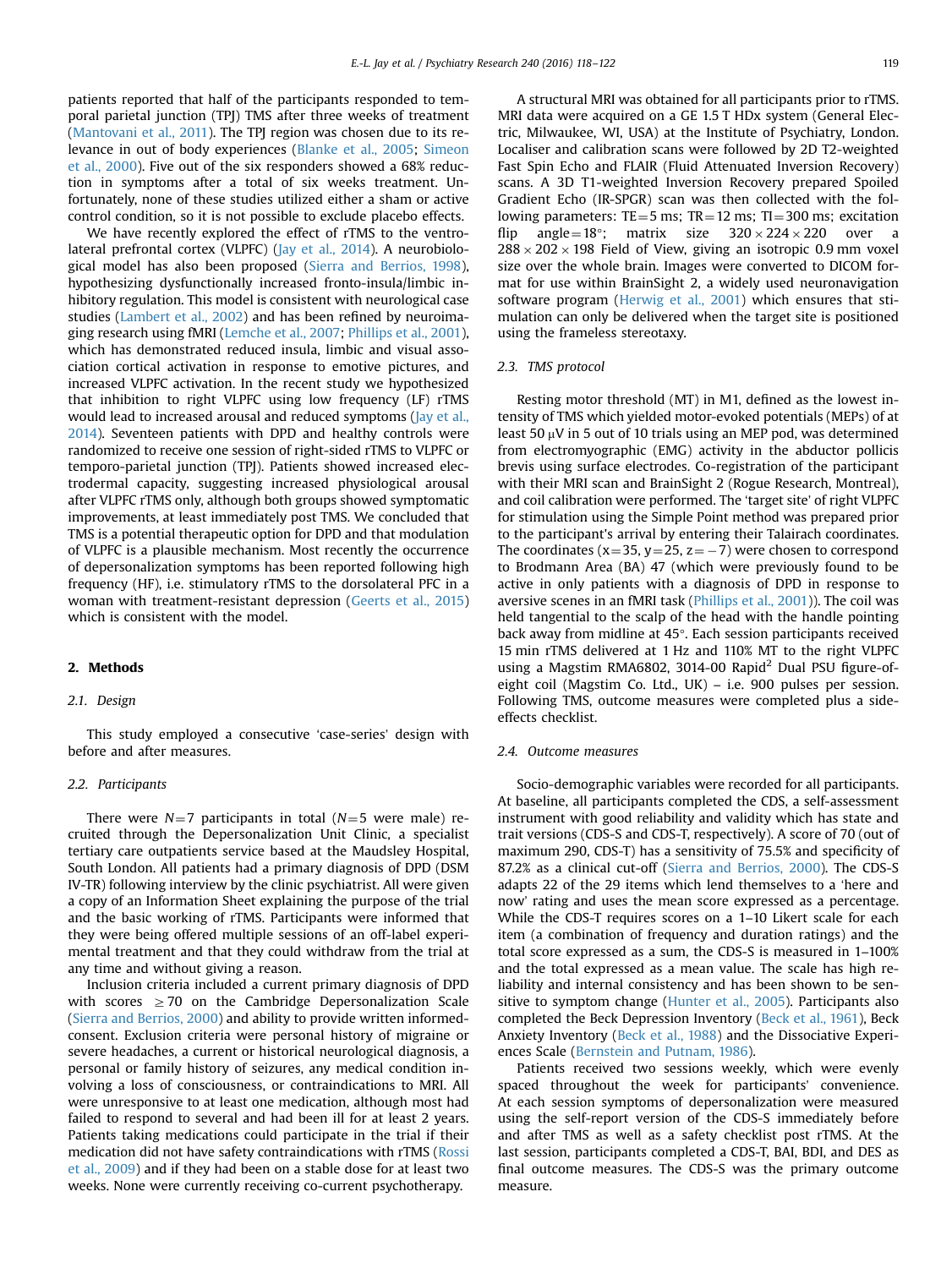patients reported that half of the participants responded to temporal parietal junction (TPJ) TMS after three weeks of treatment ([Mantovani et al., 2011](#page-4-0)). The TPJ region was chosen due to its relevance in out of body experiences ([Blanke et al., 2005;](#page-3-0) [Simeon](#page-4-0) [et al., 2000\)](#page-4-0). Five out of the six responders showed a 68% reduction in symptoms after a total of six weeks treatment. Unfortunately, none of these studies utilized either a sham or active control condition, so it is not possible to exclude placebo effects.

We have recently explored the effect of rTMS to the ventrolateral prefrontal cortex (VLPFC) [\(Jay et al., 2014\)](#page-3-0). A neurobiological model has also been proposed [\(Sierra and Berrios, 1998\)](#page-4-0), hypothesizing dysfunctionally increased fronto-insula/limbic inhibitory regulation. This model is consistent with neurological case studies [\(Lambert et al., 2002](#page-3-0)) and has been refined by neuroimaging research using fMRI ([Lemche et al., 2007;](#page-4-0) [Phillips et al., 2001\)](#page-4-0), which has demonstrated reduced insula, limbic and visual association cortical activation in response to emotive pictures, and increased VLPFC activation. In the recent study we hypothesized that inhibition to right VLPFC using low frequency (LF) rTMS would lead to increased arousal and reduced symptoms ([Jay et al.,](#page-3-0) [2014\)](#page-3-0). Seventeen patients with DPD and healthy controls were randomized to receive one session of right-sided rTMS to VLPFC or temporo-parietal junction (TPJ). Patients showed increased electrodermal capacity, suggesting increased physiological arousal after VLPFC rTMS only, although both groups showed symptomatic improvements, at least immediately post TMS. We concluded that TMS is a potential therapeutic option for DPD and that modulation of VLPFC is a plausible mechanism. Most recently the occurrence of depersonalization symptoms has been reported following high frequency (HF), i.e. stimulatory rTMS to the dorsolateral PFC in a woman with treatment-resistant depression ([Geerts et al., 2015\)](#page-3-0) which is consistent with the model.

# 2. Methods

## 2.1. Design

This study employed a consecutive 'case-series' design with before and after measures.

#### 2.2. Participants

There were  $N=7$  participants in total ( $N=5$  were male) recruited through the Depersonalization Unit Clinic, a specialist tertiary care outpatients service based at the Maudsley Hospital, South London. All patients had a primary diagnosis of DPD (DSM IV-TR) following interview by the clinic psychiatrist. All were given a copy of an Information Sheet explaining the purpose of the trial and the basic working of rTMS. Participants were informed that they were being offered multiple sessions of an off-label experimental treatment and that they could withdraw from the trial at any time and without giving a reason.

Inclusion criteria included a current primary diagnosis of DPD with scores  $\geq 70$  on the Cambridge Depersonalization Scale ([Sierra and Berrios, 2000](#page-4-0)) and ability to provide written informedconsent. Exclusion criteria were personal history of migraine or severe headaches, a current or historical neurological diagnosis, a personal or family history of seizures, any medical condition involving a loss of consciousness, or contraindications to MRI. All were unresponsive to at least one medication, although most had failed to respond to several and had been ill for at least 2 years. Patients taking medications could participate in the trial if their medication did not have safety contraindications with rTMS [\(Rossi](#page-4-0) [et al., 2009\)](#page-4-0) and if they had been on a stable dose for at least two weeks. None were currently receiving co-current psychotherapy.

A structural MRI was obtained for all participants prior to rTMS. MRI data were acquired on a GE 1.5 T HDx system (General Electric, Milwaukee, WI, USA) at the Institute of Psychiatry, London. Localiser and calibration scans were followed by 2D T2-weighted Fast Spin Echo and FLAIR (Fluid Attenuated Inversion Recovery) scans. A 3D T1-weighted Inversion Recovery prepared Spoiled Gradient Echo (IR-SPGR) scan was then collected with the following parameters: TE=5 ms; TR=12 ms; TI=300 ms; excitation<br>flip angle=18°: matrix size  $320 \times 224 \times 220$  over a flip angle= $18^\circ$ ; matrix size  $320 \times 224 \times 220$  over a  $288 \times 202 \times 198$  Field of View, giving an isotropic 0.9 mm voxel size over the whole brain. Images were converted to DICOM format for use within BrainSight 2, a widely used neuronavigation software program ([Herwig et al., 2001\)](#page-3-0) which ensures that stimulation can only be delivered when the target site is positioned using the frameless stereotaxy.

#### 2.3. TMS protocol

Resting motor threshold (MT) in M1, defined as the lowest intensity of TMS which yielded motor-evoked potentials (MEPs) of at least 50  $\mu$ V in 5 out of 10 trials using an MEP pod, was determined from electromyographic (EMG) activity in the abductor pollicis brevis using surface electrodes. Co-registration of the participant with their MRI scan and BrainSight 2 (Rogue Research, Montreal), and coil calibration were performed. The 'target site' of right VLPFC for stimulation using the Simple Point method was prepared prior to the participant's arrival by entering their Talairach coordinates. The coordinates ( $x=35$ ,  $y=25$ ,  $z=-7$ ) were chosen to correspond to Brodmann Area (BA) 47 (which were previously found to be active in only patients with a diagnosis of DPD in response to aversive scenes in an fMRI task [\(Phillips et al., 2001\)](#page-4-0)). The coil was held tangential to the scalp of the head with the handle pointing back away from midline at 45°. Each session participants received 15 min rTMS delivered at 1 Hz and 110% MT to the right VLPFC using a Magstim RMA6802, 3014-00 Rapid<sup>2</sup> Dual PSU figure-ofeight coil (Magstim Co. Ltd., UK) – i.e. 900 pulses per session. Following TMS, outcome measures were completed plus a sideeffects checklist.

#### 2.4. Outcome measures

Socio-demographic variables were recorded for all participants. At baseline, all participants completed the CDS, a self-assessment instrument with good reliability and validity which has state and trait versions (CDS-S and CDS-T, respectively). A score of 70 (out of maximum 290, CDS-T) has a sensitivity of 75.5% and specificity of 87.2% as a clinical cut-off ([Sierra and Berrios, 2000](#page-4-0)). The CDS-S adapts 22 of the 29 items which lend themselves to a 'here and now' rating and uses the mean score expressed as a percentage. While the CDS-T requires scores on a 1–10 Likert scale for each item (a combination of frequency and duration ratings) and the total score expressed as a sum, the CDS-S is measured in 1–100% and the total expressed as a mean value. The scale has high reliability and internal consistency and has been shown to be sensitive to symptom change ([Hunter et al., 2005](#page-3-0)). Participants also completed the Beck Depression Inventory [\(Beck et al., 1961](#page-3-0)), Beck Anxiety Inventory [\(Beck et al., 1988\)](#page-3-0) and the Dissociative Experiences Scale [\(Bernstein and Putnam, 1986](#page-3-0)).

Patients received two sessions weekly, which were evenly spaced throughout the week for participants' convenience. At each session symptoms of depersonalization were measured using the self-report version of the CDS-S immediately before and after TMS as well as a safety checklist post rTMS. At the last session, participants completed a CDS-T, BAI, BDI, and DES as final outcome measures. The CDS-S was the primary outcome measure.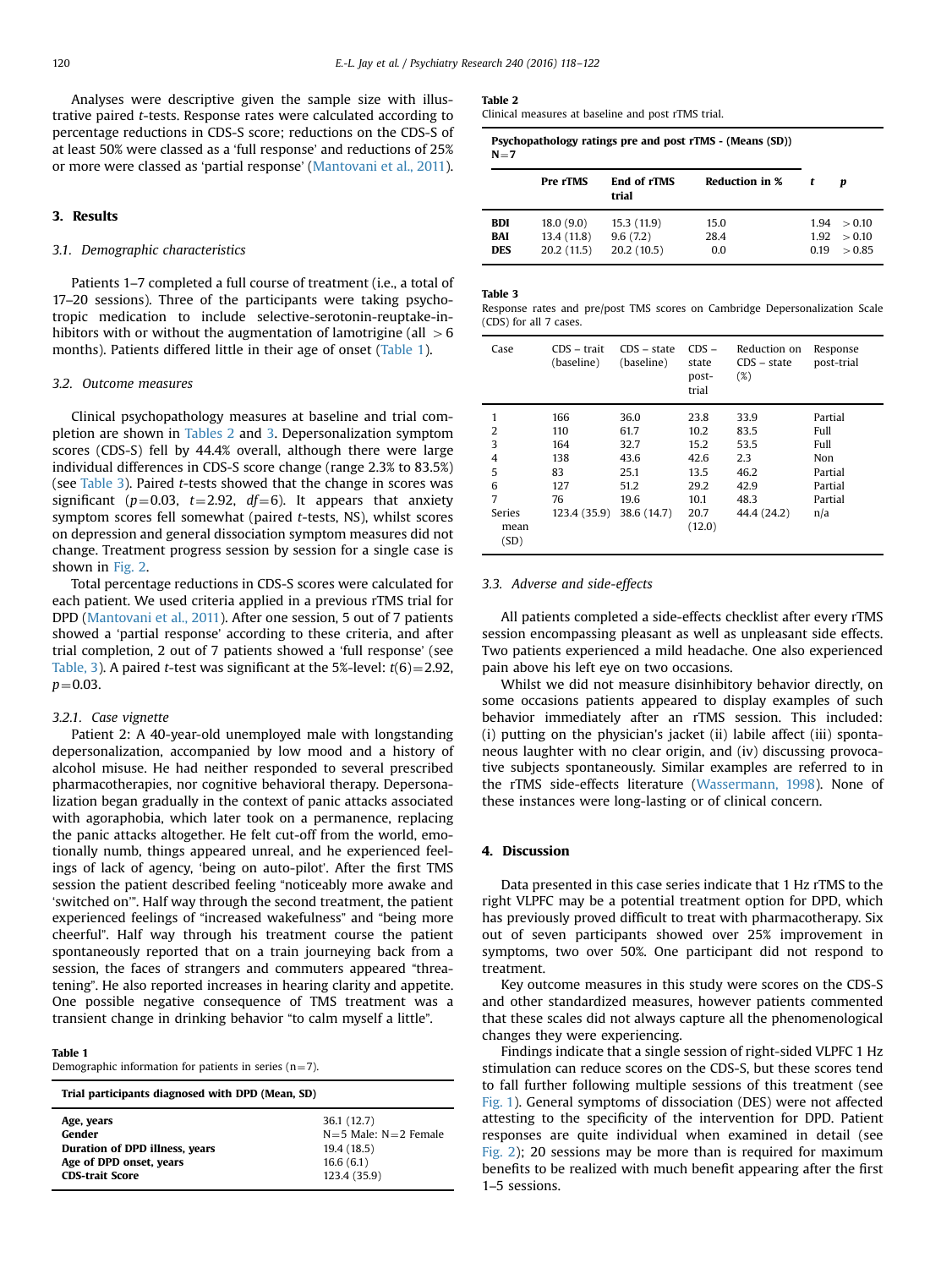Analyses were descriptive given the sample size with illustrative paired t-tests. Response rates were calculated according to percentage reductions in CDS-S score; reductions on the CDS-S of at least 50% were classed as a 'full response' and reductions of 25% or more were classed as 'partial response' ([Mantovani et al., 2011\)](#page-4-0).

# 3. Results

#### 3.1. Demographic characteristics

Patients 1–7 completed a full course of treatment (i.e., a total of 17–20 sessions). Three of the participants were taking psychotropic medication to include selective-serotonin-reuptake-inhibitors with or without the augmentation of lamotrigine (all  $>6$ months). Patients differed little in their age of onset (Table 1).

#### 3.2. Outcome measures

Clinical psychopathology measures at baseline and trial completion are shown in Tables 2 and 3. Depersonalization symptom scores (CDS-S) fell by 44.4% overall, although there were large individual differences in CDS-S score change (range 2.3% to 83.5%) (see Table 3). Paired t-tests showed that the change in scores was significant ( $p=0.03$ ,  $t=2.92$ ,  $df=6$ ). It appears that anxiety symptom scores fell somewhat (paired t-tests, NS), whilst scores on depression and general dissociation symptom measures did not change. Treatment progress session by session for a single case is shown in [Fig. 2.](#page-3-0)

Total percentage reductions in CDS-S scores were calculated for each patient. We used criteria applied in a previous rTMS trial for DPD ([Mantovani et al., 2011\)](#page-4-0). After one session, 5 out of 7 patients showed a 'partial response' according to these criteria, and after trial completion, 2 out of 7 patients showed a 'full response' (see Table, 3). A paired *t*-test was significant at the 5%-level:  $t(6) = 2.92$ ,  $p = 0.03$ .

## 3.2.1. Case vignette

Patient 2: A 40-year-old unemployed male with longstanding depersonalization, accompanied by low mood and a history of alcohol misuse. He had neither responded to several prescribed pharmacotherapies, nor cognitive behavioral therapy. Depersonalization began gradually in the context of panic attacks associated with agoraphobia, which later took on a permanence, replacing the panic attacks altogether. He felt cut-off from the world, emotionally numb, things appeared unreal, and he experienced feelings of lack of agency, 'being on auto-pilot'. After the first TMS session the patient described feeling "noticeably more awake and 'switched on'". Half way through the second treatment, the patient experienced feelings of "increased wakefulness" and "being more cheerful". Half way through his treatment course the patient spontaneously reported that on a train journeying back from a session, the faces of strangers and commuters appeared "threatening". He also reported increases in hearing clarity and appetite. One possible negative consequence of TMS treatment was a transient change in drinking behavior "to calm myself a little".

# Table 1

Demographic information for patients in series  $(n=7)$ .

| Trial participants diagnosed with DPD (Mean, SD) |                          |  |  |  |  |
|--------------------------------------------------|--------------------------|--|--|--|--|
| Age, years                                       | 36.1 (12.7)              |  |  |  |  |
| Gender                                           | $N=5$ Male: $N=2$ Female |  |  |  |  |
| Duration of DPD illness, years                   | 19.4 (18.5)              |  |  |  |  |
| Age of DPD onset, years                          | 16.6(6.1)                |  |  |  |  |
| <b>CDS-trait Score</b>                           | 123.4 (35.9)             |  |  |  |  |
|                                                  |                          |  |  |  |  |

#### Table 2

Clinical measures at baseline and post rTMS trial.

| Psychopathology ratings pre and post rTMS - (Means (SD))<br>$N=7$ |                                        |                                      |                       |                      |                            |
|-------------------------------------------------------------------|----------------------------------------|--------------------------------------|-----------------------|----------------------|----------------------------|
|                                                                   | <b>Pre rTMS</b>                        | End of rTMS<br>trial                 | <b>Reduction in %</b> |                      | p                          |
| BDI<br>BAI<br><b>DES</b>                                          | 18.0(9.0)<br>13.4 (11.8)<br>20.2(11.5) | 15.3(11.9)<br>9.6(7.2)<br>20.2(10.5) | 15.0<br>28.4<br>0.0   | 1.94<br>1.92<br>0.19 | > 0.10<br>> 0.10<br>> 0.85 |

#### Table 3

Response rates and pre/post TMS scores on Cambridge Depersonalization Scale (CDS) for all 7 cases.

| Case           | $CDS - trait$<br>(baseline) | $CDS - state$<br>(baseline) | $CDS -$<br>state<br>post-<br>trial | Reduction on<br>$CDS - state$<br>$(\%)$ | Response<br>post-trial |
|----------------|-----------------------------|-----------------------------|------------------------------------|-----------------------------------------|------------------------|
| 1              | 166                         | 36.0                        | 23.8                               | 33.9                                    | Partial                |
| 2              | 110                         | 61.7                        | 10.2                               | 83.5                                    | Full                   |
| 3              | 164                         | 32.7                        | 15.2                               | 53.5                                    | Full                   |
| 4              | 138                         | 43.6                        | 42.6                               | 2.3                                     | Non                    |
| 5              | 83                          | 25.1                        | 13.5                               | 46.2                                    | Partial                |
| 6              | 127                         | 51.2                        | 29.2                               | 42.9                                    | Partial                |
| 7              | 76                          | 19.6                        | 10.1                               | 48.3                                    | Partial                |
| Series<br>mean | 123.4 (35.9)                | 38.6 (14.7)                 | 20.7<br>(12.0)                     | 44.4 (24.2)                             | n/a                    |
| (SD)           |                             |                             |                                    |                                         |                        |

#### 3.3. Adverse and side-effects

All patients completed a side-effects checklist after every rTMS session encompassing pleasant as well as unpleasant side effects. Two patients experienced a mild headache. One also experienced pain above his left eye on two occasions.

Whilst we did not measure disinhibitory behavior directly, on some occasions patients appeared to display examples of such behavior immediately after an rTMS session. This included: (i) putting on the physician's jacket (ii) labile affect (iii) spontaneous laughter with no clear origin, and (iv) discussing provocative subjects spontaneously. Similar examples are referred to in the rTMS side-effects literature ([Wassermann, 1998](#page-4-0)). None of these instances were long-lasting or of clinical concern.

# 4. Discussion

Data presented in this case series indicate that 1 Hz rTMS to the right VLPFC may be a potential treatment option for DPD, which has previously proved difficult to treat with pharmacotherapy. Six out of seven participants showed over 25% improvement in symptoms, two over 50%. One participant did not respond to treatment.

Key outcome measures in this study were scores on the CDS-S and other standardized measures, however patients commented that these scales did not always capture all the phenomenological changes they were experiencing.

Findings indicate that a single session of right-sided VLPFC 1 Hz stimulation can reduce scores on the CDS-S, but these scores tend to fall further following multiple sessions of this treatment (see [Fig. 1\)](#page-3-0). General symptoms of dissociation (DES) were not affected attesting to the specificity of the intervention for DPD. Patient responses are quite individual when examined in detail (see [Fig. 2\)](#page-3-0); 20 sessions may be more than is required for maximum benefits to be realized with much benefit appearing after the first 1–5 sessions.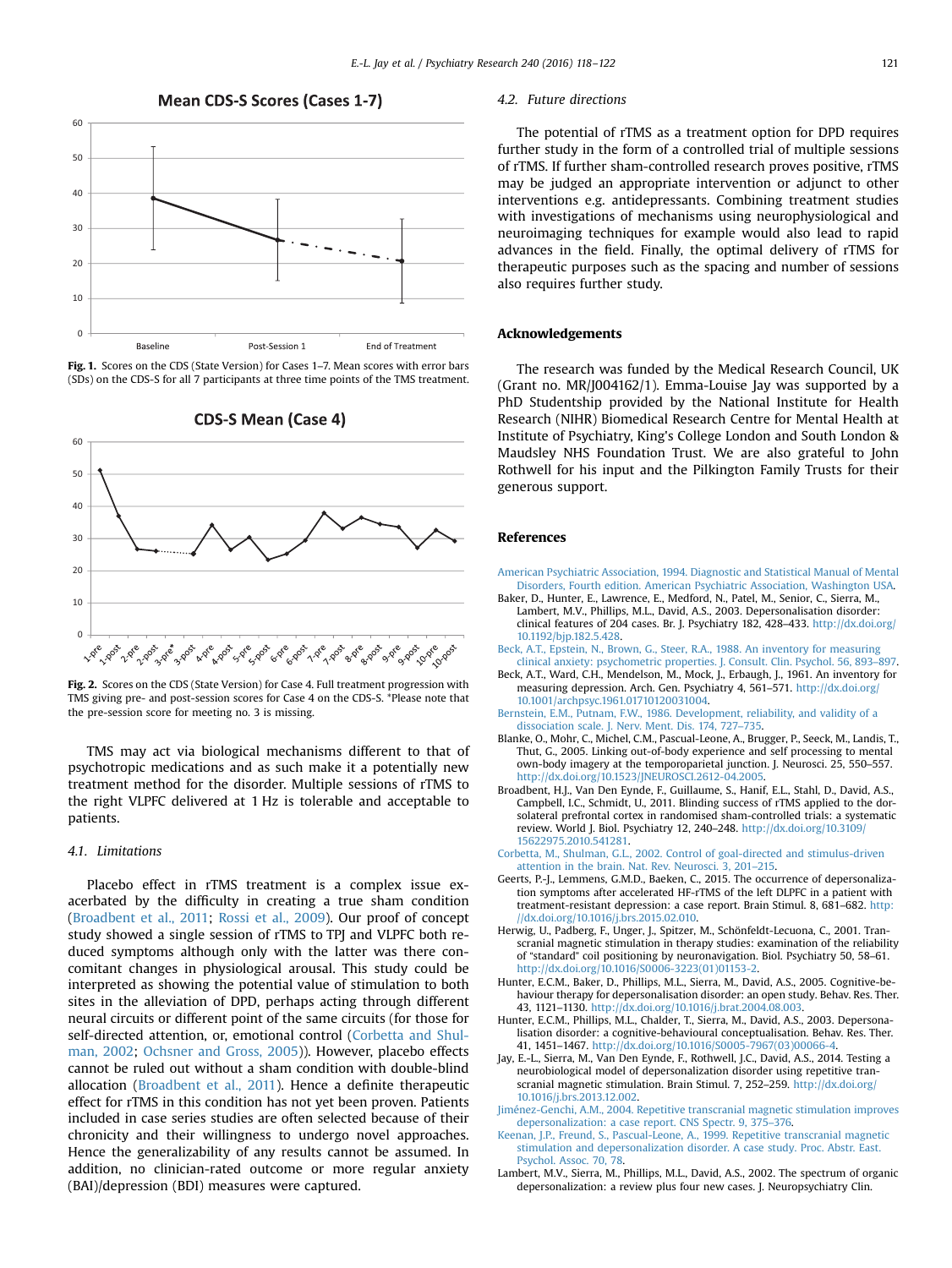<span id="page-3-0"></span>

# Mean CDS-S Scores (Cases 1-7)





**CDS-S Mean (Case 4)** 

Fig. 2. Scores on the CDS (State Version) for Case 4. Full treatment progression with TMS giving pre- and post-session scores for Case 4 on the CDS-S. \*Please note that the pre-session score for meeting no. 3 is missing.

TMS may act via biological mechanisms different to that of psychotropic medications and as such make it a potentially new treatment method for the disorder. Multiple sessions of rTMS to the right VLPFC delivered at 1 Hz is tolerable and acceptable to patients.

#### 4.1. Limitations

Placebo effect in rTMS treatment is a complex issue exacerbated by the difficulty in creating a true sham condition (Broadbent et al., 2011; [Rossi et al., 2009\)](#page-4-0). Our proof of concept study showed a single session of rTMS to TPJ and VLPFC both reduced symptoms although only with the latter was there concomitant changes in physiological arousal. This study could be interpreted as showing the potential value of stimulation to both sites in the alleviation of DPD, perhaps acting through different neural circuits or different point of the same circuits (for those for self-directed attention, or, emotional control (Corbetta and Shulman, 2002; [Ochsner and Gross, 2005\)](#page-4-0)). However, placebo effects cannot be ruled out without a sham condition with double-blind allocation (Broadbent et al., 2011). Hence a definite therapeutic effect for rTMS in this condition has not yet been proven. Patients included in case series studies are often selected because of their chronicity and their willingness to undergo novel approaches. Hence the generalizability of any results cannot be assumed. In addition, no clinician-rated outcome or more regular anxiety (BAI)/depression (BDI) measures were captured.

#### 4.2. Future directions

The potential of rTMS as a treatment option for DPD requires further study in the form of a controlled trial of multiple sessions of rTMS. If further sham-controlled research proves positive, rTMS may be judged an appropriate intervention or adjunct to other interventions e.g. antidepressants. Combining treatment studies with investigations of mechanisms using neurophysiological and neuroimaging techniques for example would also lead to rapid advances in the field. Finally, the optimal delivery of rTMS for therapeutic purposes such as the spacing and number of sessions also requires further study.

#### Acknowledgements

The research was funded by the Medical Research Council, UK (Grant no. MR/J004162/1). Emma-Louise Jay was supported by a PhD Studentship provided by the National Institute for Health Research (NIHR) Biomedical Research Centre for Mental Health at Institute of Psychiatry, King's College London and South London & Maudsley NHS Foundation Trust. We are also grateful to John Rothwell for his input and the Pilkington Family Trusts for their generous support.

## References

- [American Psychiatric Association, 1994. Diagnostic and Statistical Manual of Mental](http://refhub.elsevier.com/S0165-1781(15)30556-4/sbref1) [Disorders, Fourth edition. American Psychiatric Association, Washington USA.](http://refhub.elsevier.com/S0165-1781(15)30556-4/sbref1)
- Baker, D., Hunter, E., Lawrence, E., Medford, N., Patel, M., Senior, C., Sierra, M., Lambert, M.V., Phillips, M.L., David, A.S., 2003. Depersonalisation disorder: clinical features of 204 cases. Br. J. Psychiatry 182, 428–433. [http://dx.doi.org/](http://dx.doi.org/10.1192/bjp.182.5.428) [10.1192/bjp.182.5.428](http://dx.doi.org/10.1192/bjp.182.5.428).
- [Beck, A.T., Epstein, N., Brown, G., Steer, R.A., 1988. An inventory for measuring](http://refhub.elsevier.com/S0165-1781(15)30556-4/sbref3) [clinical anxiety: psychometric properties. J. Consult. Clin. Psychol. 56, 893](http://refhub.elsevier.com/S0165-1781(15)30556-4/sbref3)–897.
- Beck, A.T., Ward, C.H., Mendelson, M., Mock, J., Erbaugh, J., 1961. An inventory for measuring depression. Arch. Gen. Psychiatry 4, 561–571. [http://dx.doi.org/](http://dx.doi.org/10.1001/archpsyc.1961.01710120031004) [10.1001/archpsyc.1961.01710120031004.](http://dx.doi.org/10.1001/archpsyc.1961.01710120031004)
- [Bernstein, E.M., Putnam, F.W., 1986. Development, reliability, and validity of a](http://refhub.elsevier.com/S0165-1781(15)30556-4/sbref5) [dissociation scale. J. Nerv. Ment. Dis. 174, 727](http://refhub.elsevier.com/S0165-1781(15)30556-4/sbref5)–735.
- Blanke, O., Mohr, C., Michel, C.M., Pascual-Leone, A., Brugger, P., Seeck, M., Landis, T., Thut, G., 2005. Linking out-of-body experience and self processing to mental own-body imagery at the temporoparietal junction. J. Neurosci. 25, 550–557. [http://dx.doi.org/10.1523/JNEUROSCI.2612-04.2005.](http://dx.doi.org/10.1523/JNEUROSCI.2612-04.2005)
- Broadbent, H.J., Van Den Eynde, F., Guillaume, S., Hanif, E.L., Stahl, D., David, A.S., Campbell, I.C., Schmidt, U., 2011. Blinding success of rTMS applied to the dorsolateral prefrontal cortex in randomised sham-controlled trials: a systematic review. World J. Biol. Psychiatry 12, 240–248. [http://dx.doi.org/10.3109/](http://dx.doi.org/10.3109/15622975.2010.541281) [15622975.2010.541281](http://dx.doi.org/10.3109/15622975.2010.541281).
- [Corbetta, M., Shulman, G.L., 2002. Control of goal-directed and stimulus-driven](http://refhub.elsevier.com/S0165-1781(15)30556-4/sbref8) [attention in the brain. Nat. Rev. Neurosci. 3, 201](http://refhub.elsevier.com/S0165-1781(15)30556-4/sbref8)–215.
- Geerts, P.-J., Lemmens, G.M.D., Baeken, C., 2015. The occurrence of depersonalization symptoms after accelerated HF-rTMS of the left DLPFC in a patient with treatment-resistant depression: a case report. Brain Stimul. 8, 681–682. [http:](http://dx.doi.org/10.1016/j.brs.2015.02.010) [//dx.doi.org/10.1016/j.brs.2015.02.010.](http://dx.doi.org/10.1016/j.brs.2015.02.010)
- Herwig, U., Padberg, F., Unger, J., Spitzer, M., Schönfeldt-Lecuona, C., 2001. Transcranial magnetic stimulation in therapy studies: examination of the reliability of "standard" coil positioning by neuronavigation. Biol. Psychiatry 50, 58–61. [http://dx.doi.org/10.1016/S0006-3223\(01\)01153-2.](http://dx.doi.org/10.1016/S0006-3223(01)01153-2)
- Hunter, E.C.M., Baker, D., Phillips, M.L., Sierra, M., David, A.S., 2005. Cognitive-behaviour therapy for depersonalisation disorder: an open study. Behav. Res. Ther. 43, 1121–1130. [http://dx.doi.org/10.1016/j.brat.2004.08.003.](http://dx.doi.org/10.1016/j.brat.2004.08.003)
- Hunter, E.C.M., Phillips, M.L., Chalder, T., Sierra, M., David, A.S., 2003. Depersonalisation disorder: a cognitive-behavioural conceptualisation. Behav. Res. Ther. 41, 1451–1467. [http://dx.doi.org/10.1016/S0005-7967\(03\)00066-4.](http://dx.doi.org/10.1016/S0005-7967(03)00066-4)
- Jay, E.-L., Sierra, M., Van Den Eynde, F., Rothwell, J.C., David, A.S., 2014. Testing a neurobiological model of depersonalization disorder using repetitive transcranial magnetic stimulation. Brain Stimul. 7, 252–259. [http://dx.doi.org/](http://dx.doi.org/10.1016/j.brs.2013.12.002) [10.1016/j.brs.2013.12.002.](http://dx.doi.org/10.1016/j.brs.2013.12.002)
- [Jiménez-Genchi, A.M., 2004. Repetitive transcranial magnetic stimulation improves](http://refhub.elsevier.com/S0165-1781(15)30556-4/sbref14) [depersonalization: a case report. CNS Spectr. 9, 375](http://refhub.elsevier.com/S0165-1781(15)30556-4/sbref14)–376.
- [Keenan, J.P., Freund, S., Pascual-Leone, A., 1999. Repetitive transcranial magnetic](http://refhub.elsevier.com/S0165-1781(15)30556-4/sbref15) [stimulation and depersonalization disorder. A case study. Proc. Abstr. East.](http://refhub.elsevier.com/S0165-1781(15)30556-4/sbref15) [Psychol. Assoc. 70, 78.](http://refhub.elsevier.com/S0165-1781(15)30556-4/sbref15)
- Lambert, M.V., Sierra, M., Phillips, M.L., David, A.S., 2002. The spectrum of organic depersonalization: a review plus four new cases. J. Neuropsychiatry Clin.